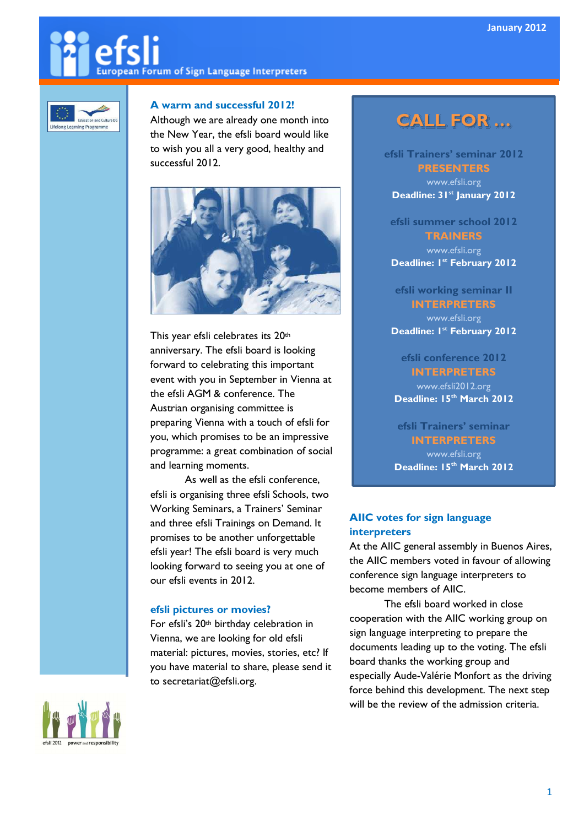# **European Forum of Sign Language Interpreters**



#### A warm and successful 2012!

Although we are already one month into the New Year, the efsli board would like to wish you all a very good, healthy and successful 2012.



This year efsli celebrates its 20th anniversary. The efsli board is looking forward to celebrating this important event with you in September in Vienna at the efsli AGM & conference. The Austrian organising committee is preparing Vienna with a touch of efsli for you, which promises to be an impressive programme: a great combination of social and learning moments.

As well as the efsli conference, efsli is organising three efsli Schools, two Working Seminars, a Trainers' Seminar and three efsli Trainings on Demand. It promises to be another unforgettable efsli year! The efsli board is very much looking forward to seeing you at one of our efsli events in 2012.

#### efsli pictures or movies?

For efsli's 20<sup>th</sup> birthday celebration in Vienna, we are looking for old efsli material: pictures, movies, stories, etc? If you have material to share, please send it to secretariat@efsli.org.

### CALL FOR …

efsli Trainers' seminar 2012

**PRESENTERS** www.efsli.org Deadline: 31<sup>st</sup> January 2012

efsli summer school 2012 **TRAINERS** 

www.efsli.org Deadline: I<sup>st</sup> February 2012

efsli working seminar II

#### INTERPRETERS

www.efsli.org Deadline: I<sup>st</sup> February 2012

efsli conference 2012 INTERPRETERS www.efsli2012.org

Deadline: 15<sup>th</sup> March 2012

efsli Trainers' seminar INTERPRETERS www.efsli.org Deadline: 15th March 2012

#### AIIC votes for sign language interpreters

At the AIIC general assembly in Buenos Aires, the AIIC members voted in favour of allowing conference sign language interpreters to become members of AIIC.

The efsli board worked in close cooperation with the AIIC working group on sign language interpreting to prepare the documents leading up to the voting. The efsli board thanks the working group and especially Aude-Valérie Monfort as the driving force behind this development. The next step will be the review of the admission criteria.

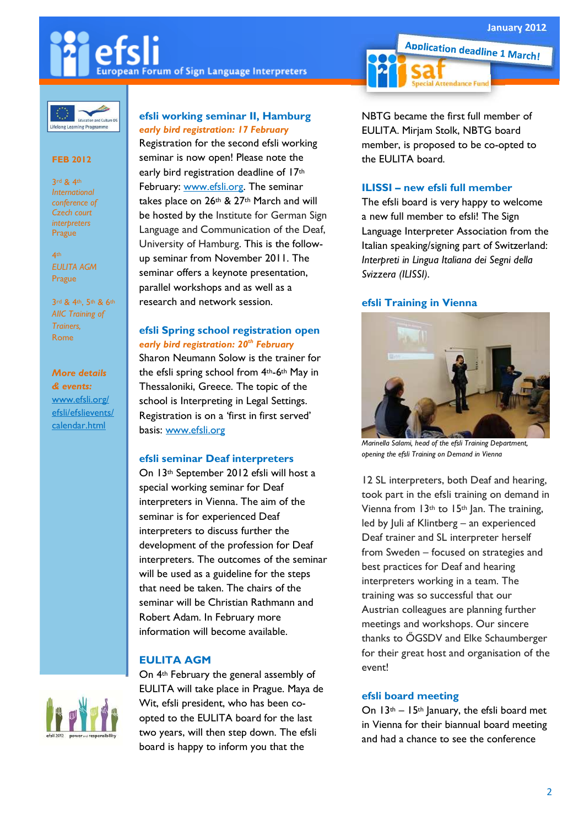### **European Forum of Sign Language Interpreters**



#### FEB 2012

3rd & 4th International conference of Czech court interbreters Prague

4th EULITA AGM Prague

3rd & 4th, 5th & 6th AIIC Training of Trainers, Rome

More details & events: www.efsli.org/ efsli/efslievents/ calendar.html

#### efsli working seminar II, Hamburg early bird registration: 17 February

Registration for the second efsli working seminar is now open! Please note the early bird registration deadline of 17th February: www.efsli.org. The seminar takes place on 26th & 27th March and will be hosted by the Institute for German Sign Language and Communication of the Deaf, University of Hamburg. This is the followup seminar from November 2011. The seminar offers a keynote presentation, parallel workshops and as well as a research and network session.

#### efsli Spring school registration open early bird registration: 20<sup>th</sup> February

Sharon Neumann Solow is the trainer for the efsli spring school from 4th-6th May in Thessaloniki, Greece. The topic of the school is Interpreting in Legal Settings. Registration is on a 'first in first served' basis: www.efsli.org

#### efsli seminar Deaf interpreters

On 13th September 2012 efsli will host a special working seminar for Deaf interpreters in Vienna. The aim of the seminar is for experienced Deaf interpreters to discuss further the development of the profession for Deaf interpreters. The outcomes of the seminar will be used as a guideline for the steps that need be taken. The chairs of the seminar will be Christian Rathmann and Robert Adam. In February more information will become available.

#### EULITA AGM

On 4th February the general assembly of EULITA will take place in Prague. Maya de Wit, efsli president, who has been coopted to the EULITA board for the last two years, will then step down. The efsli board is happy to inform you that the

NBTG became the first full member of EULITA. Mirjam Stolk, NBTG board member, is proposed to be co-opted to the EULITA board.

**Application deadline 1 March!** 

**Attendance Fund** 

#### ILISSI – new efsli full member

The efsli board is very happy to welcome a new full member to efsli! The Sign Language Interpreter Association from the Italian speaking/signing part of Switzerland: Interpreti in Lingua Italiana dei Segni della Svizzera (ILISSI).

#### efsli Training in Vienna



Marinella Salami, head of the efsli Training Department, opening the efsli Training on Demand in Vienna

12 SL interpreters, both Deaf and hearing, took part in the efsli training on demand in Vienna from  $13<sup>th</sup>$  to  $15<sup>th</sup>$  Jan. The training, led by Juli af Klintberg – an experienced Deaf trainer and SL interpreter herself from Sweden – focused on strategies and best practices for Deaf and hearing interpreters working in a team. The training was so successful that our Austrian colleagues are planning further meetings and workshops. Our sincere thanks to ÖGSDV and Elke Schaumberger for their great host and organisation of the event!

#### efsli board meeting

On  $13<sup>th</sup> - 15<sup>th</sup>$  January, the efsli board met in Vienna for their biannual board meeting and had a chance to see the conference